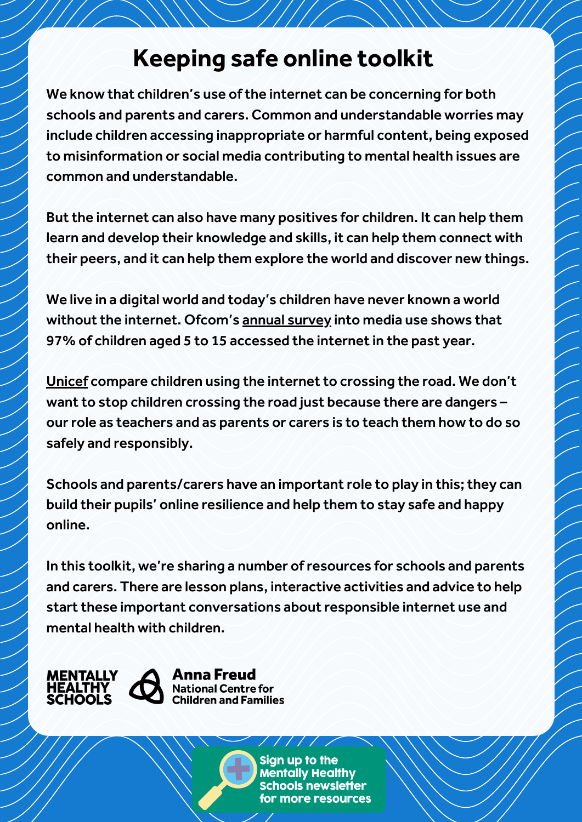# **Keeping safe online toolkit**

We know that children's use of the internet can be concerning for both schools and parents and carers. Common and understandable worries may include children accessing inappropriate or harmful content, being exposed to misinformation or social media contributing to mental health issues are common and understandable.

But the internet can also have many positives for children. It can help them learn and develop their knowledge and skills, it can help them connect with their peers, and it can help them explore the world and discover new things.

We live in a digital world and today's children have never known a world without the internet. Ofcom's annual [survey](https://www.ofcom.org.uk/__data/assets/pdf_file/0025/217825/children-and-parents-media-use-and-attitudes-report-2020-21.pdf) into media use shows that 97% of children aged 5 to 15 accessed the internet in the past year.

[Unicef](https://www.unicef.org/press-releases/done-right-internet-use-among-children-can-increase-learning-opportunities-and-build) compare children using the internet to crossing the road. We don't want to stop children crossing the road just because there are dangers – ourrole as teachers and as parents or carers is to teach them how to do so safely and responsibly.

Schools and parents/carers have an important role to play in this; they can build their pupils' online resilience and help them to stay safe and happy online.

In this toolkit, we're sharing a number ofresources for schools and parents and carers. There are lesson plans, interactive activities and advice to help start these important conversations about responsible internet use and mental health with children.



Anna Freud **National Centre for Children and Families** 

> Sign up to the Mentally Healthy **Schools newsletter** for more resources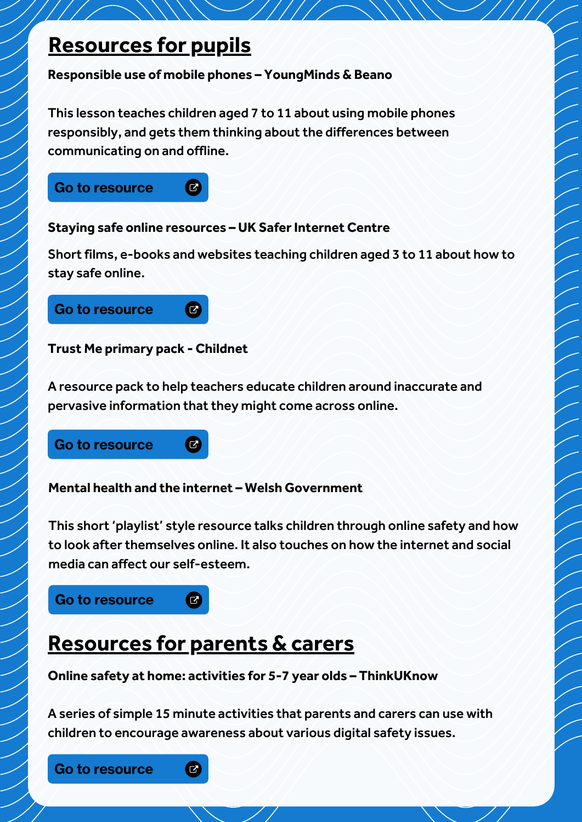## **Resources for pupils**

#### **Responsible use of mobile phones – YoungMinds & Beano**

This lesson teaches children aged 7 to 11 about using mobile phones responsibly, and gets them thinking about the differences between communicating on and offline.





Ø

#### **Staying safe online resources – UK SaferInternet Centre**

Short films, e-books and websites teaching children aged 3 to 11 about how to stay safe online.

#### Go to [resource](https://www.mentallyhealthyschools.org.uk/resources/staying-safe-online/)

#### **Trust Me primary pack - Childnet**

A resource pack to help teachers educate children around inaccurate and pervasive information that they might come across online.

Go to [resource](https://www.mentallyhealthyschools.org.uk/resources/childnet-trust-me-primary-pack/)

#### **Mental health and the internet – Welsh Government**

 $\overline{G}$ 

This short 'playlist' style resource talks children through online safety and how to look after themselves online. It also touches on how the internet and social media can affect our self-esteem.

Go to [resource](https://mentallyhealthyschools.org.uk/resources/mental-health-and-the-internet/)

### **Resources for parents & carers**

 $\bullet$ 

#### **Online safety at home: activities for 5-7 year olds – ThinkUKnow**

A series of simple 15 minute activities that parents and carers can use with children to encourage awareness about various digital safety issues.

Go to [resource](https://www.mentallyhealthyschools.org.uk/resources/online-safety-at-home-activities-for-5-7-year-olds/)